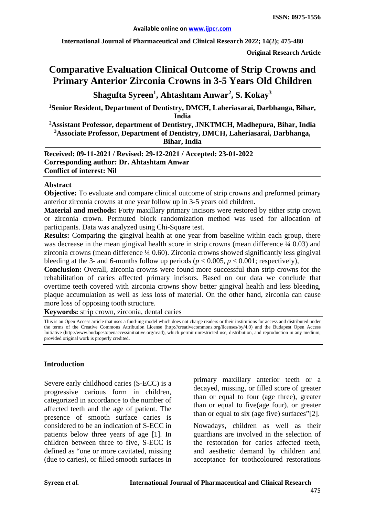**International Journal of Pharmaceutical and Clinical Research 2022; 14(2); 475-480**

**Original Research Article**

# **Comparative Evaluation Clinical Outcome of Strip Crowns and Primary Anterior Zirconia Crowns in 3-5 Years Old Children**

**Shagufta Syreen<sup>1</sup> , Ahtashtam Anwar2 , S. Kokay<sup>3</sup>**

**1 Senior Resident, Department of Dentistry, DMCH, Laheriasarai, Darbhanga, Bihar, India**

**2 Assistant Professor, department of Dentistry, JNKTMCH, Madhepura, Bihar, India 3 Associate Professor, Department of Dentistry, DMCH, Laheriasarai, Darbhanga, Bihar, India**

**Received: 09-11-2021 / Revised: 29-12-2021 / Accepted: 23-01-2022 Corresponding author: Dr. Ahtashtam Anwar Conflict of interest: Nil**

#### **Abstract**

**Objective:** To evaluate and compare clinical outcome of strip crowns and preformed primary anterior zirconia crowns at one year follow up in 3-5 years old children.

**Material and methods:** Forty maxillary primary incisors were restored by either strip crown or zirconia crown. Permuted block randomization method was used for allocation of participants. Data was analyzed using Chi-Square test.

**Results:** Comparing the gingival health at one year from baseline within each group, there was decrease in the mean gingival health score in strip crowns (mean difference  $\frac{1}{4}$  0.03) and zirconia crowns (mean difference ¼ 0.60). Zirconia crowns showed significantly less gingival bleeding at the 3- and 6-months follow up periods ( $p < 0.005$ ,  $p < 0.001$ ; respectively),

**Conclusion:** Overall, zirconia crowns were found more successful than strip crowns for the rehabilitation of caries affected primary incisors. Based on our data we conclude that overtime teeth covered with zirconia crowns show better gingival health and less bleeding, plaque accumulation as well as less loss of material. On the other hand, zirconia can cause more loss of opposing tooth structure.

**Keywords:** strip crown, zirconia, dental caries

This is an Open Access article that uses a fund-ing model which does not charge readers or their institutions for access and distributed under the terms of the Creative Commons Attribution License (http://creativecommons.org/licenses/by/4.0) and the Budapest Open Access Initiative (http://www.budapestopenaccessinitiative.org/read), which permit unrestricted use, distribution, and reproduction in any medium, provided original work is properly credited.

#### **Introduction**

Severe early childhood caries (S-ECC) is a progressive carious form in children, categorized in accordance to the number of affected teeth and the age of patient. The presence of smooth surface caries is considered to be an indication of S-ECC in patients below three years of age [1]. In children between three to five, S-ECC is defined as "one or more cavitated, missing (due to caries), or filled smooth surfaces in primary maxillary anterior teeth or a decayed, missing, or filled score of greater than or equal to four (age three), greater than or equal to five(age four), or greater than or equal to six (age five) surfaces"[2].

Nowadays, children as well as their guardians are involved in the selection of the restoration for caries affected teeth, and aesthetic demand by children and acceptance for toothcoloured restorations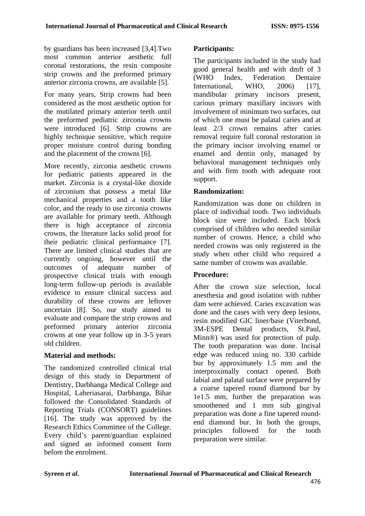by guardians has been increased [3,4].Two most common anterior aesthetic full coronal restorations, the resin composite strip crowns and the preformed primary anterior zirconia crowns, are available [5].

For many years, Strip crowns had been considered as the most aesthetic option for the mutilated primary anterior teeth until the preformed pediatric zirconia crowns were introduced [6]. Strip crowns are highly technique sensitive, which require proper moisture control during bonding and the placement of the crowns [6].

More recently, zirconia aesthetic crowns for pediatric patients appeared in the market. Zirconia is a crystal-like dioxide of zirconium that possess a metal like mechanical properties and a tooth like color, and the ready to use zirconia crowns are available for primary teeth. Although there is high acceptance of zirconia crowns, the literature lacks solid proof for their pediatric clinical performance [7]. There are limited clinical studies that are currently ongoing, however until the outcomes of adequate number of prospective clinical trials with enough long-term follow-up periods is available evidence to ensure clinical success and durability of these crowns are leftover uncertain [8]. So, our study aimed to evaluate and compare the strip crowns and preformed primary anterior zirconia crowns at one year follow up in 3-5 years old children.

## **Material and methods:**

The randomized controlled clinical trial design of this study in Department of Dentistry, Darbhanga Medical College and Hospital, Laheriasarai, Darbhanga, Bihar followed the Consolidated Standards of Reporting Trials (CONSORT) guidelines [16]. The study was approved by the Research Ethics Committee of the College. Every child's parent/guardian explained and signed an informed consent form before the enrolment.

## **Participants:**

The participants included in the study had good general health and with dmft of 3<br>(WHO Index. Federation Dentaire Federation Dentaire International, WHO, 2006) [17], mandibular primary incisors present, carious primary maxillary incisors with involvement of minimum two surfaces, out of which one must be palatal caries and at least 2/3 crown remains after caries removal require full coronal restoration in the primary incisor involving enamel or enamel and dentin only, managed by behavioral management techniques only and with firm tooth with adequate root support.

## **Randomization:**

Randomization was done on children in place of individual tooth. Two individuals block size were included. Each block comprised of children who needed similar number of crowns. Hence, a child who needed crowns was only registered in the study when other child who required a same number of crowns was available.

## **Procedure:**

After the crown size selection, local anesthesia and good isolation with rubber dam were achieved. Caries excavation was done and the cases with very deep lesions, resin modified GIC liner/base (Viterbond, 3M-ESPE Dental products, St.Paul, Minn®) was used for protection of pulp. The tooth preparation was done. Incisal edge was reduced using no. 330 carbide bur by approximately 1.5 mm and the interproximally contact opened. Both labial and palatal surface were prepared by a coarse tapered round diamond bur by 1e1.5 mm, further the preparation was smoothened and 1 mm sub gingival preparation was done a fine tapered roundend diamond bur. In both the groups, principles followed for the tooth preparation were similar.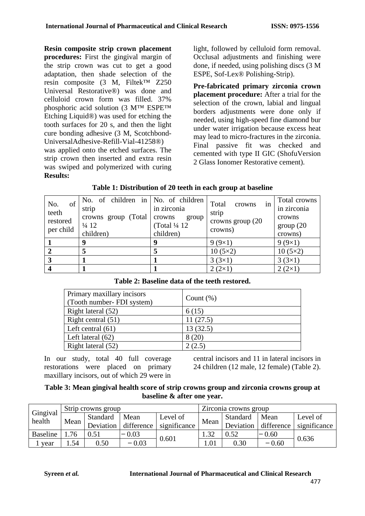**Resin composite strip crown placement procedures:** First the gingival margin of the strip crown was cut to get a good adaptation, then shade selection of the resin composite (3 M, Filtek™ Z250 Universal Restorative®) was done and celluloid crown form was filled. 37% phosphoric acid solution (3 M™ ESPE™ Etching Liquid®) was used for etching the tooth surfaces for 20 s, and then the light cure bonding adhesive (3 M, Scotchbond-UniversalAdhesive-Refill-Vial-41258®) was applied onto the etched surfaces. The strip crown then inserted and extra resin was swiped and polymerized with curing **Results:**

light, followed by celluloid form removal. Occlusal adjustments and finishing were done, if needed, using polishing discs (3 M ESPE, Sof-Lex® Polishing-Strip).

**Pre-fabricated primary zirconia crown placement procedure:** After a trial for the selection of the crown, labial and lingual borders adjustments were done only if needed, using high-speed fine diamond bur under water irrigation because excess heat may lead to micro-fractures in the zirconia. Final passive fit was checked and cemented with type II GIC (ShofuVersion 2 Glass Ionomer Restorative cement).

| of<br>No.<br>teeth<br>restored<br>per child | No. of children in No. of children<br>strip<br>crowns group (Total<br>$\frac{1}{4}$ 12<br>children) | in zirconia<br>crowns<br>group<br>(Total 1/4 12)<br>children) | Total<br>crowns<br>1n<br>strip<br>crowns group $(20)$<br>crowns) | Total crowns<br>in zirconia<br>crowns<br>group(20)<br>crowns) |
|---------------------------------------------|-----------------------------------------------------------------------------------------------------|---------------------------------------------------------------|------------------------------------------------------------------|---------------------------------------------------------------|
|                                             | 9                                                                                                   | 4                                                             | $9(9\times1)$                                                    | 9(9x1)                                                        |
| $\overline{2}$                              |                                                                                                     |                                                               | $10(5\times2)$                                                   | $10(5\times2)$                                                |
| 3                                           |                                                                                                     |                                                               | $3(3\times1)$                                                    | $3(3\times1)$                                                 |
|                                             |                                                                                                     |                                                               | $2(2\times1)$                                                    | $2(2\times1)$                                                 |

| Primary maxillary incisors<br>(Tooth number-FDI system) | Count $(\%)$ |
|---------------------------------------------------------|--------------|
| Right lateral (52)                                      | 6(15)        |
| Right central $(51)$                                    | 11(27.5)     |
| Left central $(61)$                                     | 13(32.5)     |
| Left lateral $(62)$                                     | 8(20)        |
| Right lateral (52)                                      | 2(2.5)       |

## **Table 2: Baseline data of the teeth restored.**

In our study, total 40 full coverage restorations were placed on primary maxillary incisors, out of which 29 were in

central incisors and 11 in lateral incisors in 24 children (12 male, 12 female) (Table 2).

## **Table 3: Mean gingival health score of strip crowns group and zirconia crowns group at baseline & after one year.**

| Gingival<br>health | Strip crowns group |           |            | Zirconia crowns group |      |           |            |              |
|--------------------|--------------------|-----------|------------|-----------------------|------|-----------|------------|--------------|
|                    | Mean               | Standard  | Mean       | Level of              | Mean | Standard  | Mean       | Level of     |
|                    |                    | Deviation | difference | significance          |      | Deviation | difference | significance |
| Baseline           | 76                 | 0.51      | $-0.03$    |                       | 1.32 | 0.52      | $-0.60$    |              |
| vear               | .54                | 0.50      | $-0.03$    | 0.601                 | 1.01 | 0.30      | $-0.60$    | 0.636        |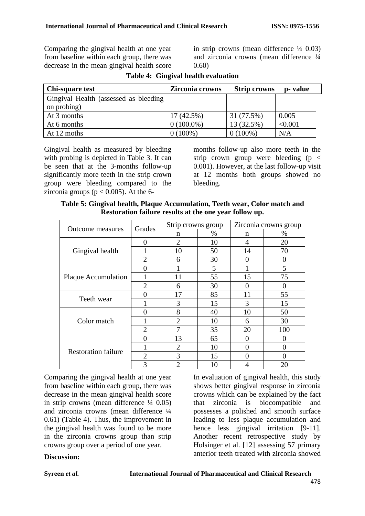Comparing the gingival health at one year from baseline within each group, there was decrease in the mean gingival health score in strip crowns (mean difference  $\frac{1}{4}$  0.03) and zirconia crowns (mean difference ¼ 0.60)

| Chi-square test                       | Zirconia crowns | <b>Strip crowns</b> | p- value |
|---------------------------------------|-----------------|---------------------|----------|
| Gingival Health (assessed as bleeding |                 |                     |          |
| on probing)                           |                 |                     |          |
| At 3 months                           | $17(42.5\%)$    | 31 (77.5%)          | 0.005    |
| At 6 months                           | $0(100.0\%)$    | 13 (32.5%)          | < 0.001  |
| At 12 moths                           | $0(100\%)$      | $0(100\%)$          | N/A      |

**Table 4: Gingival health evaluation**

Gingival health as measured by bleeding with probing is depicted in Table 3. It can be seen that at the 3-months follow-up significantly more teeth in the strip crown group were bleeding compared to the zirconia groups ( $p < 0.005$ ). At the 6months follow-up also more teeth in the strip crown group were bleeding  $(p \lt p)$ 0.001). However, at the last follow-up visit at 12 months both groups showed no bleeding.

**Table 5: Gingival health, Plaque Accumulation, Teeth wear, Color match and Restoration failure results at the one year follow up.**

|                            | Grades                      | Strip crowns group |      | Zirconia crowns group |     |
|----------------------------|-----------------------------|--------------------|------|-----------------------|-----|
| <b>Outcome</b> measures    |                             | n                  | $\%$ | n                     | %   |
|                            | $\mathbf{\Omega}$           | $\overline{2}$     | 10   | 4                     | 20  |
| Gingival health            |                             | 10                 | 50   | 14                    | 70  |
|                            | $\mathcal{D}_{\mathcal{A}}$ | 6                  | 30   | $\mathbf{\Omega}$     | 0   |
|                            | $\mathbf{\Omega}$           |                    | 5    |                       | 5   |
| <b>Plaque Accumulation</b> |                             | 11                 | 55   | 15                    | 75  |
|                            | $\mathcal{D}_{\mathcal{A}}$ | 6                  | 30   | 0                     |     |
|                            | 0                           | 17                 | 85   | 11                    | 55  |
| Teeth wear                 |                             | 3                  | 15   | 3                     | 15  |
|                            | $\mathbf{\Omega}$           | 8                  | 40   | 10                    | 50  |
| Color match                |                             | $\overline{2}$     | 10   | 6                     | 30  |
|                            | $\overline{2}$              |                    | 35   | 20                    | 100 |
|                            | $\mathbf{\Omega}$           | 13                 | 65   | 0                     | 0   |
|                            |                             | $\overline{2}$     | 10   |                       |     |
| <b>Restoration failure</b> | 2                           | 3                  | 15   | $\Omega$              | 0   |
|                            | 3                           | $\overline{2}$     | 10   |                       | 20  |

Comparing the gingival health at one year from baseline within each group, there was decrease in the mean gingival health score in strip crowns (mean difference  $\frac{1}{4}$  0.05) and zirconia crowns (mean difference ¼ 0.61) (Table 4). Thus, the improvement in the gingival health was found to be more in the zirconia crowns group than strip crowns group over a period of one year.

In evaluation of gingival health, this study shows better gingival response in zirconia crowns which can be explained by the fact that zirconia is biocompatible and possesses a polished and smooth surface leading to less plaque accumulation and hence less gingival irritation [9-11]. Another recent retrospective study by Holsinger et al. [12] assessing 57 primary anterior teeth treated with zirconia showed

#### **Discussion:**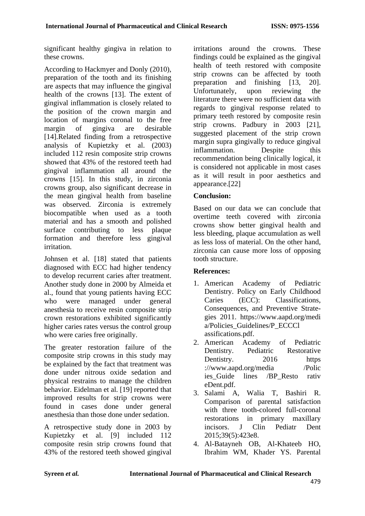significant healthy gingiva in relation to these crowns.

According to Hackmyer and Donly (2010), preparation of the tooth and its finishing are aspects that may influence the gingival health of the crowns [13]. The extent of gingival inflammation is closely related to the position of the crown margin and location of margins coronal to the free margin of gingiva are desirable [14].Related finding from a retrospective analysis of Kupietzky et al. (2003) included 112 resin composite strip crowns showed that 43% of the restored teeth had gingival inflammation all around the crowns [15]. In this study, in zirconia crowns group, also significant decrease in the mean gingival health from baseline was observed. Zirconia is extremely biocompatible when used as a tooth material and has a smooth and polished surface contributing to less plaque formation and therefore less gingival irritation.

Johnsen et al. [18] stated that patients diagnosed with ECC had higher tendency to develop recurrent caries after treatment. Another study done in 2000 by Almeida et al., found that young patients having ECC who were managed under general anesthesia to receive resin composite strip crown restorations exhibited significantly higher caries rates versus the control group who were caries free originally.

The greater restoration failure of the composite strip crowns in this study may be explained by the fact that treatment was done under nitrous oxide sedation and physical restrains to manage the children behavior. Eidelman et al. [19] reported that improved results for strip crowns were found in cases done under general anesthesia than those done under sedation.

A retrospective study done in 2003 by Kupietzky et al. [9] included 112 composite resin strip crowns found that 43% of the restored teeth showed gingival irritations around the crowns. These findings could be explained as the gingival health of teeth restored with composite strip crowns can be affected by tooth preparation and finishing [13, 20].<br>Unfortunately, upon reviewing the Unfortunately, upon reviewing the literature there were no sufficient data with regards to gingival response related to primary teeth restored by composite resin strip crowns. Padbury in 2003 [21], suggested placement of the strip crown margin supra gingivally to reduce gingival inflammation. Despite this recommendation being clinically logical, it is considered not applicable in most cases as it will result in poor aesthetics and appearance.[22]

# **Conclusion:**

Based on our data we can conclude that overtime teeth covered with zirconia crowns show better gingival health and less bleeding, plaque accumulation as well as less loss of material. On the other hand, zirconia can cause more loss of opposing tooth structure.

## **References:**

- 1. American Academy of Pediatric Dentistry. Policy on Early Childhood Caries (ECC): Classifications, Consequences, and Preventive Strategies 2011. https://www.aapd.org/medi a/Policies\_Guidelines/P\_ECCCl assifications.pdf.
- 2. American Academy of Pediatric Dentistry. Pediatric Restorative Dentistry. 2016 https ://www.aapd.org/media /Polic ies\_Guide lines /BP\_Resto rativ eDent.pdf.
- 3. Salami A, Walia T, Bashiri R. Comparison of parental satisfaction with three tooth-colored full-coronal restorations in primary maxillary incisors. J Clin Pediatr Dent 2015;39(5):423e8.
- 4. Al-Batayneh OB, Al-Khateeb HO, Ibrahim WM, Khader YS. Parental